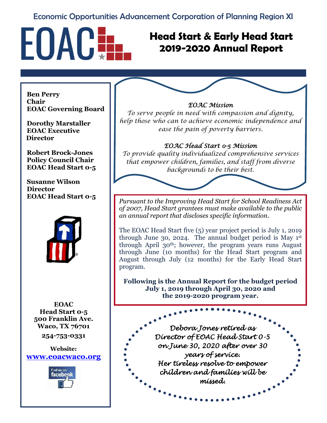### Economic Opportunities Advancement Corporation of Planning Region XI



## **Head Start & Early Head Start 2019-2020 Annual Report**

**Ben Perry Chair EOAC Governing Board**

**Dorothy Marstaller EOAC Executive Director**

**Robert Brock-Jones Policy Council Chair EOAC Head Start 0-5** 

**Susanne Wilson Director EOAC Head Start 0-5** 



**EOAC Head Start 0-5 500 Franklin Ave. Waco, TX 76701**

**254-753-0331**

**Website: [www.eoacwaco.org](http://www.eoacwaco.org/)**



#### *EOAC Mission*

*To serve people in need with compassion and dignity, help those who can to achieve economic independence and ease the pain of poverty barriers.*

#### *EOAC Head Start 0-5 Mission*

*To provide quality individualized comprehensive services that empower children, families, and staff from diverse backgrounds to be their best.*



The EOAC Head Start five (5) year project period is July 1, 2019 through June 30, 2024. The annual budget period is May  $1<sup>st</sup>$ through April 30th; however, the program years runs August through June (10 months) for the Head Start program and August through July (12 months) for the Early Head Start program.

**Following is the Annual Report for the budget period July 1, 2019 through April 30, 2020 and the 2019-2020 program year.**

*Debora Jones retired as Director of EOAC Head Start 0-5 on June 30, 2020 after over 30 years of service. Her tireless resolve to empower children and families will be missed.*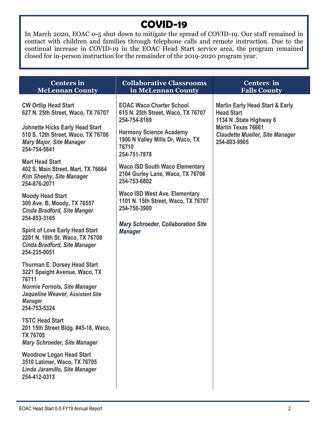## **COVID-19**

In March 2020, EOAC 0-5 shut down to mitigate the spread of COVID-19. Our staff remained in contact with children and families through telephone calls and remote instruction. Due to the continual increase in COVID-19 in the EOAC Head Start service area, the program remained closed for in-person instruction for the remainder of the 2019-2020 program year.

| <b>Centers in</b><br><b>McLennan County</b>                                                                                      | <b>Collaborative Classrooms</b><br>in McLennan County                                       | <b>Centers</b> in<br><b>Falls County</b>                                                                                |
|----------------------------------------------------------------------------------------------------------------------------------|---------------------------------------------------------------------------------------------|-------------------------------------------------------------------------------------------------------------------------|
| <b>CW Ortlip Head Start</b><br>627 N. 25th Street, Waco, TX 76707<br><b>Johnette Hicks Early Head Start</b>                      | <b>EOAC Waco Charter School</b><br>615 N. 25th Street, Waco, TX 76707<br>254-754-8169       | <b>Marlin Early Head Start &amp; Early</b><br><b>Head Start</b><br>1134 N .State Highway 6<br><b>Marlin Texas 76661</b> |
| 510 S. 12th Street, Waco, TX 76706<br><b>Mary Major, Site Manager</b><br>254-754-5641                                            | <b>Harmony Science Academy</b><br>1900 N Valley Mills Dr, Waco, TX<br>76710<br>254-751-7878 | <b>Claudette Mueller, Site Manager</b><br>254-803-9905                                                                  |
| <b>Mart Head Start</b><br>402 S. Main Street, Mart, TX 76664<br><b>Kim Sheehy, Site Manager</b><br>254-876-2071                  | <b>Waco ISD South Waco Elementary</b><br>2104 Gurley Lane, Waco, TX 76706<br>254-753-6802   |                                                                                                                         |
| <b>Moody Head Start</b><br>300 Ave. B, Moody, TX 76557<br><b>Cinda Bradford, Site Manger</b><br>254-853-3165                     | <b>Waco ISD West Ave. Elementary</b><br>1101 N. 15th Street, Waco, TX 76707<br>254-750-3900 |                                                                                                                         |
| <b>Spirit of Love Early Head Start</b><br>2201 N. 18th St. Waco, TX 76708<br><b>Cinda Bradford, Site Manager</b><br>254-235-0051 | <b>Mary Schroeder, Collaboration Site</b><br><b>Manager</b>                                 |                                                                                                                         |
| <b>Thurman E. Dorsey Head Start</b><br>3221 Speight Avenue, Waco, TX<br>76711                                                    |                                                                                             |                                                                                                                         |
| <b>Normie Fornols, Site Manager</b><br>Jaqueline Weaver, Assistant Site<br><b>Manager</b><br>254-753-5324                        |                                                                                             |                                                                                                                         |
| <b>TSTC Head Start</b><br>201 15th Street Bldg. #45-18, Waco,<br><b>TX 76705</b><br><b>Mary Schroeder, Site Manager</b>          |                                                                                             |                                                                                                                         |
| <b>Woodrow Logan Head Start</b><br>3510 Latimer, Waco, TX 76705<br>Linda Jaramillo, Site Manager<br>254-412-0313                 |                                                                                             |                                                                                                                         |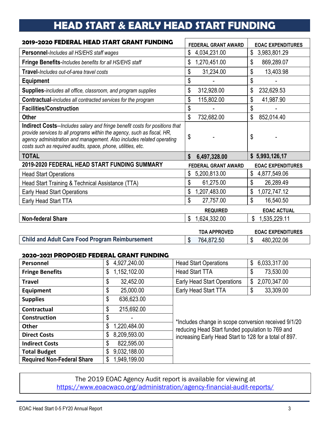# **HEAD START & EARLY HEAD START FUNDING**

| 2019-2020 FEDERAL HEAD START GRANT FUNDING                                                                                                                                                                                                                                                              | <b>FEDERAL GRANT AWARD</b> | <b>EOAC EXPENDITURES</b> |
|---------------------------------------------------------------------------------------------------------------------------------------------------------------------------------------------------------------------------------------------------------------------------------------------------------|----------------------------|--------------------------|
| Personnel-Includes all HS/EHS staff wages                                                                                                                                                                                                                                                               | 4,034,231.00<br>\$         | \$<br>3,983,801.29       |
| Fringe Benefits-Includes benefits for all HS/EHS staff                                                                                                                                                                                                                                                  | \$<br>1,270,451.00         | \$<br>869,289.07         |
| Travel-Includes out-of-area travel costs                                                                                                                                                                                                                                                                | \$<br>31,234.00            | \$<br>13,403.98          |
| <b>Equipment</b>                                                                                                                                                                                                                                                                                        | \$                         | \$                       |
| <b>Supplies-includes all office, classroom, and program supplies</b>                                                                                                                                                                                                                                    | \$<br>312,928.00           | 232,629.53               |
| <b>Contractual-includes all contracted services for the program</b>                                                                                                                                                                                                                                     | \$<br>115,802.00           | \$<br>41,987.90          |
| <b>Facilities/Construction</b>                                                                                                                                                                                                                                                                          | \$                         | \$                       |
| <b>Other</b>                                                                                                                                                                                                                                                                                            | \$<br>732,682.00           | \$<br>852,014.40         |
| <b>Indirect Costs--</b> Includes salary and fringe benefit costs for positions that<br>provide services to all programs within the agency, such as fiscal, HR,<br>agency administration and management. Also includes related operating<br>costs such as required audits, space, phone, utilities, etc. | \$                         | \$                       |
| <b>TOTAL</b>                                                                                                                                                                                                                                                                                            | 6,497,328.00<br>S          | \$5,993,126,17           |
| 2019-2020 FEDERAL HEAD START FUNDING SUMMARY                                                                                                                                                                                                                                                            | <b>FEDERAL GRANT AWARD</b> | <b>EOAC EXPENDITURES</b> |
| <b>Head Start Operations</b>                                                                                                                                                                                                                                                                            | 5,200,813.00<br>\$         | 4,877,549.06<br>\$       |
| Head Start Training & Technical Assistance (TTA)                                                                                                                                                                                                                                                        | \$<br>61,275.00            | \$<br>26,289.49          |
| <b>Early Head Start Operations</b>                                                                                                                                                                                                                                                                      | \$<br>1,207,483.00         | \$<br>1,072,747.12       |
| Early Head Start TTA                                                                                                                                                                                                                                                                                    | \$<br>27,757.00            | \$<br>16,540.50          |
|                                                                                                                                                                                                                                                                                                         | <b>REQUIRED</b>            | <b>EOAC ACTUAL</b>       |
| <b>Non-federal Share</b>                                                                                                                                                                                                                                                                                | \$<br>1,624,332.00         | \$<br>1,535,229.11       |
|                                                                                                                                                                                                                                                                                                         |                            |                          |

|                                                        | <b>TDA APPROVED</b> |    | <b>EOAC EXPENDITURES</b> |
|--------------------------------------------------------|---------------------|----|--------------------------|
| <b>Child and Adult Care Food Program Reimbursement</b> | 764,872.50          | ה. | 480.202.06               |

#### **2020-2021 PROPOSED FEDERAL GRANT FUNDING**

| Personnel                         | \$<br>4,927,240.00 | <b>Head Start Operations</b>                                                                                                                                       | \$<br>6,033,317.00 |  |
|-----------------------------------|--------------------|--------------------------------------------------------------------------------------------------------------------------------------------------------------------|--------------------|--|
| <b>Fringe Benefits</b>            | 1,152,102.00<br>\$ | <b>Head Start TTA</b>                                                                                                                                              | 73,530.00<br>\$    |  |
| <b>Travel</b>                     | 32,452.00<br>\$    | <b>Early Head Start Operations</b>                                                                                                                                 | 2,070,347.00<br>\$ |  |
| Equipment                         | 25,000.00<br>\$    | Early Head Start TTA                                                                                                                                               | 33,309.00<br>\$    |  |
| <b>Supplies</b>                   | 636,623.00<br>\$   |                                                                                                                                                                    |                    |  |
| <b>Contractual</b>                | 215,692.00<br>\$   |                                                                                                                                                                    |                    |  |
| <b>Construction</b>               | \$                 | *Includes change in scope conversion received 9/1/20<br>reducing Head Start funded population to 769 and<br>increasing Early Head Start to 128 for a total of 897. |                    |  |
| <b>Other</b>                      | 1,220,484.00<br>\$ |                                                                                                                                                                    |                    |  |
| <b>Direct Costs</b>               | 8,209,593.00<br>\$ |                                                                                                                                                                    |                    |  |
| <b>Indirect Costs</b>             | 822,595.00<br>\$   |                                                                                                                                                                    |                    |  |
| <b>Total Budget</b>               | 9,032,188.00<br>\$ |                                                                                                                                                                    |                    |  |
| <b>Required Non-Federal Share</b> | 1,949,199.00<br>\$ |                                                                                                                                                                    |                    |  |

The 2019 EOAC Agency Audit report is available for viewing at <https://www.eoacwaco.org/administration/agency-financial-audit-reports/>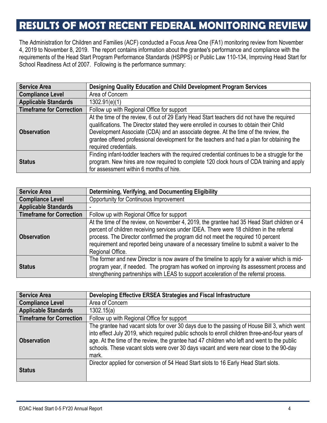## **RESULTS OF MOST RECENT FEDERAL MONITORING REVIEW**

The Administration for Children and Families (ACF) conducted a Focus Area One (FA1) monitoring review from November 4, 2019 to November 8, 2019. The report contains information about the grantee's performance and compliance with the requirements of the Head Start Program Performance Standards (HSPPS) or Public Law 110-134, Improving Head Start for School Readiness Act of 2007. Following is the performance summary:

| <b>Service Area</b>             | Designing Quality Education and Child Development Program Services                                                                                                                                                                                                                                                                                                                                  |
|---------------------------------|-----------------------------------------------------------------------------------------------------------------------------------------------------------------------------------------------------------------------------------------------------------------------------------------------------------------------------------------------------------------------------------------------------|
| <b>Compliance Level</b>         | Area of Concern                                                                                                                                                                                                                                                                                                                                                                                     |
| <b>Applicable Standards</b>     | 1302.91(e)(1)                                                                                                                                                                                                                                                                                                                                                                                       |
| <b>Timeframe for Correction</b> | Follow up with Regional Office for support                                                                                                                                                                                                                                                                                                                                                          |
| <b>Observation</b>              | At the time of the review, 6 out of 29 Early Head Start teachers did not have the required<br>qualifications. The Director stated they were enrolled in courses to obtain their Child<br>Development Associate (CDA) and an associate degree. At the time of the review, the<br>grantee offered professional development for the teachers and had a plan for obtaining the<br>required credentials. |
| <b>Status</b>                   | Finding infant-toddler teachers with the required credential continues to be a struggle for the<br>program. New hires are now required to complete 120 clock hours of CDA training and apply<br>for assessment within 6 months of hire.                                                                                                                                                             |

| <b>Service Area</b>             | Determining, Verifying, and Documenting Eligibility                                                                                                                                                                                                                                                                                                                                          |
|---------------------------------|----------------------------------------------------------------------------------------------------------------------------------------------------------------------------------------------------------------------------------------------------------------------------------------------------------------------------------------------------------------------------------------------|
| <b>Compliance Level</b>         | Opportunity for Continuous Improvement                                                                                                                                                                                                                                                                                                                                                       |
| <b>Applicable Standards</b>     |                                                                                                                                                                                                                                                                                                                                                                                              |
| <b>Timeframe for Correction</b> | Follow up with Regional Office for support                                                                                                                                                                                                                                                                                                                                                   |
| <b>Observation</b>              | At the time of the review, on November 4, 2019, the grantee had 35 Head Start children or 4<br>percent of children receiving services under IDEA. There were 18 children in the referral<br>process. The Director confirmed the program did not meet the required 10 percent<br>requirement and reported being unaware of a necessary timeline to submit a waiver to the<br>Regional Office. |
| <b>Status</b>                   | The former and new Director is now aware of the timeline to apply for a waiver which is mid-<br>program year, if needed. The program has worked on improving its assessment process and<br>strengthening partnerships with LEAS to support acceleration of the referral process.                                                                                                             |

| <b>Service Area</b>             | Developing Effective ERSEA Strategies and Fiscal Infrastructure                                                                                                                                                                                                                                                                                                                                   |
|---------------------------------|---------------------------------------------------------------------------------------------------------------------------------------------------------------------------------------------------------------------------------------------------------------------------------------------------------------------------------------------------------------------------------------------------|
| <b>Compliance Level</b>         | Area of Concern                                                                                                                                                                                                                                                                                                                                                                                   |
| <b>Applicable Standards</b>     | 1302.15(a)                                                                                                                                                                                                                                                                                                                                                                                        |
| <b>Timeframe for Correction</b> | Follow up with Regional Office for support                                                                                                                                                                                                                                                                                                                                                        |
| <b>Observation</b>              | The grantee had vacant slots for over 30 days due to the passing of House Bill 3, which went<br>into effect July 2019, which required public schools to enroll children three-and-four years of<br>age. At the time of the review, the grantee had 47 children who left and went to the public<br>schools. These vacant slots were over 30 days vacant and were near close to the 90-day<br>mark. |
| <b>Status</b>                   | Director applied for conversion of 54 Head Start slots to 16 Early Head Start slots.                                                                                                                                                                                                                                                                                                              |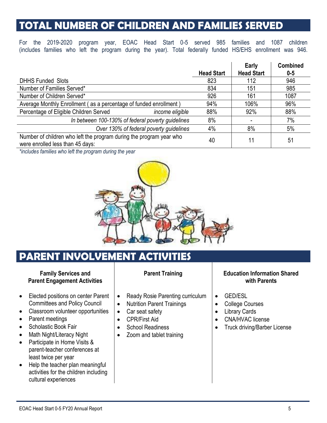## **TOTAL NUMBER OF CHILDREN AND FAMILIES SERVED**

For the 2019-2020 program year, EOAC Head Start 0-5 served 985 families and 1087 children (includes families who left the program during the year). Total federally funded HS/EHS enrollment was 946.

|                                                                                                         |                   | Early             | <b>Combined</b> |
|---------------------------------------------------------------------------------------------------------|-------------------|-------------------|-----------------|
|                                                                                                         | <b>Head Start</b> | <b>Head Start</b> | $0 - 5$         |
| <b>DHHS Funded Slots</b>                                                                                | 823               | 112               | 946             |
| Number of Families Served*                                                                              | 834               | 151               | 985             |
| Number of Children Served*                                                                              | 926               | 161               | 1087            |
| Average Monthly Enrollment (as a percentage of funded enrollment)                                       | 94%               | 106%              | 96%             |
| Percentage of Eligible Children Served<br>income eligible                                               | 88%               | 92%               | 88%             |
| In between 100-130% of federal poverty guidelines                                                       | 8%                |                   | 7%              |
| Over 130% of federal poverty guidelines                                                                 | 4%                | 8%                | 5%              |
| Number of children who left the program during the program year who<br>were enrolled less than 45 days: | 40                | 11                | 51              |

*\*includes families who left the program during the year*



## **PARENT INVOLVEMENT**

#### **Family Services and Parent Engagement Activities**

- Elected positions on center Parent Committees and Policy Council
- Classroom volunteer opportunities
- Parent meetings
- Scholastic Book Fair
- Math Night/Literacy Night
- Participate in Home Visits & parent-teacher conferences at least twice per year
- Help the teacher plan meaningful activities for the children including cultural experiences

#### **Parent Training**

- Ready Rosie Parenting curriculum
- Nutrition Parent Trainings
- Car seat safety
- CPR/First Aid
- School Readiness
- Zoom and tablet training

#### **Education Information Shared with Parents**

- GED/ESL
- College Courses
- Library Cards
- CNA/HVAC license
- Truck driving/Barber License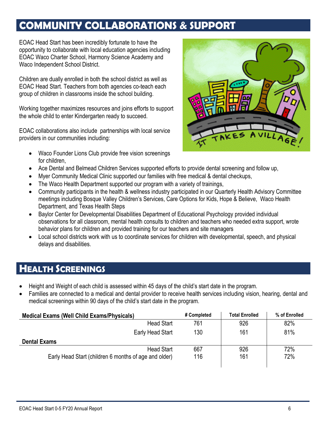## **COMMUNITY COLLABORATIONS & SUPPORT**

EOAC Head Start has been incredibly fortunate to have the opportunity to collaborate with local education agencies including EOAC Waco Charter School, Harmony Science Academy and Waco Independent School District.

Children are dually enrolled in both the school district as well as EOAC Head Start. Teachers from both agencies co-teach each group of children in classrooms inside the school building.

Working together maximizes resources and joins efforts to support the whole child to enter Kindergarten ready to succeed.

EOAC collaborations also include partnerships with local service providers in our communities including:

- Waco Founder Lions Club provide free vision screenings for children,
- Ace Dental and Belmead Children Services supported efforts to provide dental screening and follow up,
- Myer Community Medical Clinic supported our families with free medical & dental checkups,
- The Waco Health Department supported our program with a variety of trainings,
- Community participants in the health & wellness industry participated in our Quarterly Health Advisory Committee meetings including Bosque Valley Children's Services, Care Options for Kids, Hope & Believe, Waco Health Department, and Texas Health Steps
- Baylor Center for Developmental Disabilities Department of Educational Psychology provided individual observations for all classroom, mental health consults to children and teachers who needed extra support, wrote behavior plans for children and provided training for our teachers and site managers
- Local school districts work with us to coordinate services for children with developmental, speech, and physical delays and disabilities.

### **HEALTH SCREENINGS**

- Height and Weight of each child is assessed within 45 days of the child's start date in the program.
- Families are connected to a medical and dental provider to receive health services including vision, hearing, dental and medical screenings within 90 days of the child's start date in the program.

| <b>Medical Exams (Well Child Exams/Physicals)</b>     | # Completed | <b>Total Enrolled</b> | % of Enrolled |
|-------------------------------------------------------|-------------|-----------------------|---------------|
| <b>Head Start</b>                                     | 761         | 926                   | 82%           |
| Early Head Start                                      | 130         | 161                   | 81%           |
| <b>Dental Exams</b>                                   |             |                       |               |
| <b>Head Start</b>                                     | 667         | 926                   | 72%           |
| Early Head Start (children 6 months of age and older) | 116         | 161                   | 72%           |
|                                                       |             |                       |               |

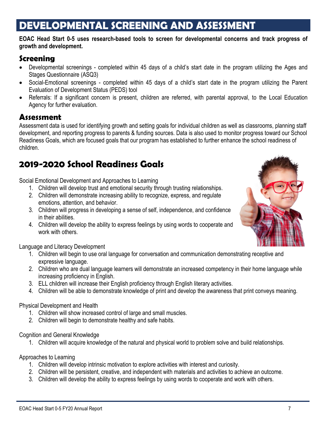# **DEVELOPMENTAL SCREENING AND ASSESSMENT**

#### **EOAC Head Start 0-5 uses research-based tools to screen for developmental concerns and track progress of growth and development.**

### **Screening**

- Developmental screenings completed within 45 days of a child's start date in the program utilizing the Ages and Stages Questionnaire (ASQ3)
- Social-Emotional screenings completed within 45 days of a child's start date in the program utilizing the Parent Evaluation of Development Status (PEDS) tool
- Referrals: If a significant concern is present, children are referred, with parental approval, to the Local Education Agency for further evaluation.

### **Assessment**

Assessment data is used for identifying growth and setting goals for individual children as well as classrooms, planning staff development, and reporting progress to parents & funding sources. Data is also used to monitor progress toward our School Readiness Goals, which are focused goals that our program has established to further enhance the school readiness of children.

### **2019-2020 School Readiness Goals**

Social Emotional Development and Approaches to Learning

- 1. Children will develop trust and emotional security through trusting relationships.
- 2. Children will demonstrate increasing ability to recognize, express, and regulate emotions, attention, and behavior.
- 3. Children will progress in developing a sense of self, independence, and confidence in their abilities.
- 4. Children will develop the ability to express feelings by using words to cooperate and work with others.

Language and Literacy Development

- 1. Children will begin to use oral language for conversation and communication demonstrating receptive and expressive language.
- 2. Children who are dual language learners will demonstrate an increased competency in their home language while increasing proficiency in English.
- 3. ELL children will increase their English proficiency through English literary activities.
- 4. Children will be able to demonstrate knowledge of print and develop the awareness that print conveys meaning.

#### Physical Development and Health

- 1. Children will show increased control of large and small muscles.
- 2. Children will begin to demonstrate healthy and safe habits.

#### Cognition and General Knowledge

1. Children will acquire knowledge of the natural and physical world to problem solve and build relationships.

Approaches to Learning

- 1. Children will develop intrinsic motivation to explore activities with interest and curiosity.
- 2. Children will be persistent, creative, and independent with materials and activities to achieve an outcome.
- 3. Children will develop the ability to express feelings by using words to cooperate and work with others.

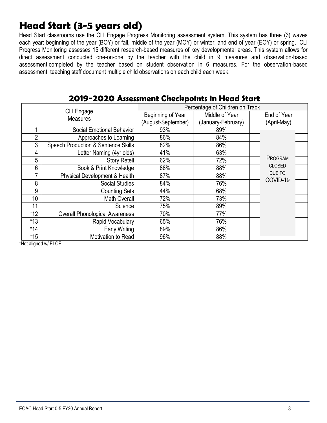## **Head Start (3-5 years old)**

Head Start classrooms use the CLI Engage Progress Monitoring assessment system. This system has three (3) waves each year: beginning of the year (BOY) or fall, middle of the year (MOY) or winter, and end of year (EOY) or spring. CLI Progress Monitoring assesses 15 different research-based measures of key developmental areas. This system allows for direct assessment conducted one-on-one by the teacher with the child in 9 measures and observation-based assessment completed by the teacher based on student observation in 6 measures. For the observation-based assessment, teaching staff document multiple child observations on each child each week.

|                 |                                                |                    | Percentage of Children on Track |               |
|-----------------|------------------------------------------------|--------------------|---------------------------------|---------------|
|                 | <b>CLI Engage</b><br><b>Measures</b>           | Beginning of Year  | Middle of Year                  | End of Year   |
|                 |                                                | (August-September) | (January-February)              | (April-May)   |
|                 | <b>Social Emotional Behavior</b>               | 93%                | 89%                             |               |
| $\overline{2}$  | Approaches to Learning                         | 86%                | 84%                             |               |
| 3               | <b>Speech Production &amp; Sentence Skills</b> | 82%                | 86%                             |               |
| 4               | Letter Naming (4yr olds)                       | 41%                | 63%                             |               |
| 5               | <b>Story Retell</b>                            | 62%                | 72%                             | PROGRAM       |
| 6               | Book & Print Knowledge                         | 88%                | 88%                             | <b>CLOSED</b> |
| 7               | Physical Development & Health                  | 87%                | 88%                             | DUE TO        |
| 8               | <b>Social Studies</b>                          | 84%                | 76%                             | COVID-19      |
| 9               | <b>Counting Sets</b>                           | 44%                | 68%                             |               |
| 10 <sup>1</sup> | <b>Math Overall</b>                            | 72%                | 73%                             |               |
| 11              | Science                                        | 75%                | 89%                             |               |
| $*12$           | <b>Overall Phonological Awareness</b>          | 70%                | 77%                             |               |
| $*13$           | Rapid Vocabulary                               | 65%                | 76%                             |               |
| $*14$           | <b>Early Writing</b>                           | 89%                | 86%                             |               |
| $*15$           | Motivation to Read                             | 96%                | 88%                             |               |

### **2019-2020 Assessment Checkpoints in Head Start**

\*Not aligned w/ ELOF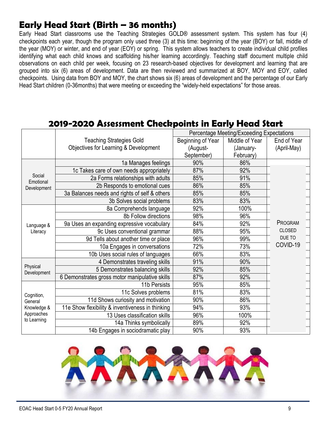### **Early Head Start (Birth – 36 months)**

Early Head Start classrooms use the Teaching Strategies GOLD® assessment system. This system has four (4) checkpoints each year, though the program only used three (3) at this time: beginning of the year (BOY) or fall, middle of the year (MOY) or winter, and end of year (EOY) or spring. This system allows teachers to create individual child profiles identifying what each child knows and scaffolding his/her learning accordingly. Teaching staff document multiple child observations on each child per week, focusing on 23 research-based objectives for development and learning that are grouped into six (6) areas of development. Data are then reviewed and summarized at BOY, MOY and EOY, called checkpoints. Using data from BOY and MOY, the chart shows six (6) areas of development and the percentage of our Early Head Start children (0-36months) that were meeting or exceeding the "widely-held expectations" for those areas.

#### Teaching Strategies Gold Objectives for Learning & Development Percentage Meeting/Exceeding Expectations Beginning of Year (August-September) Middle of Year (January-February) End of Year (April-May) Social Emotional Development 1a Manages feelings | 90% | 86% 1c Takes care of own needs appropriately | 87% | 92% 2a Forms relationships with adults 85% and 91% 2b Responds to emotional cues 86% 85% 3a Balances needs and rights of self & others 85% 85% 3b Solves social problems | 83% | 83% Language & **Literacy** 8a Comprehends language 92% 100% 8b Follow directions 98% 96% 9a Uses an expanding expressive vocabulary | 84% 84% 92% 9c Uses conventional grammar 88% 95% 9d Tells about another time or place 96% 99% 10a Engages in conversations | 12% | 73%<br>Uses social rules of languages | 66% | 83% 10b Uses social rules of languages Physical Development 4 Demonstrates traveling skills 91% 90% 5 Demonstrates balancing skills 92% 85% 6 Demonstrates gross motor manipulative skills | 87% | 92% Cognition, **General** Knowledge & Approaches to Learning 11b Persists | 95% | 85% 11c Solves problems | 81% | 83% 11d Shows curiosity and motivation | 90% | 86% 11e Show flexibility & inventiveness in thinking | 94% 93% 13 Uses classification skills | 96% | 100% 14a Thinks symbolically 89% and 14a Thinks symbolically PROGRAM CLOSED DUE TO COVID-19

### **2019-2020 Assessment Checkpoints in Early Head Start**



14b Engages in sociodramatic play | 90% | 93%